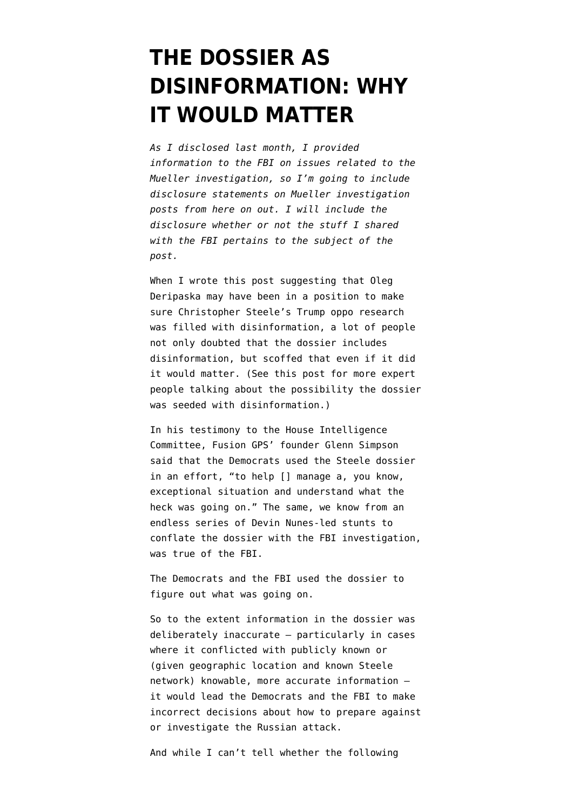# **[THE DOSSIER AS](https://www.emptywheel.net/2018/08/13/the-dossier-as-disinformation-why-it-would-matter/) [DISINFORMATION: WHY](https://www.emptywheel.net/2018/08/13/the-dossier-as-disinformation-why-it-would-matter/) [IT WOULD MATTER](https://www.emptywheel.net/2018/08/13/the-dossier-as-disinformation-why-it-would-matter/)**

*As I disclosed last month, I [provided](https://www.emptywheel.net/2018/07/03/putting-a-face-mine-to-the-risks-posed-by-gop-games-on-mueller-investigation/) [information](https://www.emptywheel.net/2018/07/03/putting-a-face-mine-to-the-risks-posed-by-gop-games-on-mueller-investigation/) to the FBI on issues related to the Mueller investigation, so I'm going to include disclosure statements on Mueller investigation posts from here on out. I will include the disclosure whether or not the stuff I shared with the FBI pertains to the subject of the post.* 

When I wrote [this post](https://www.emptywheel.net/2018/08/09/oleg-deripaska-probably-fed-both-parties-dirt-in-2016-election/) suggesting that Oleg Deripaska may have been in a position to make sure Christopher Steele's Trump oppo research was filled with disinformation, a lot of people not only doubted that the [dossier](https://www.documentcloud.org/documents/3259984-Trump-Intelligence-Allegations.html) includes disinformation, but scoffed that even if it did it would matter. (See [this post](https://www.emptywheel.net/2018/01/29/on-disinformation-and-the-dossier/) for more expert people talking about the possibility the dossier was seeded with disinformation.)

In his [testimony](https://intelligence.house.gov/news/documentsingle.aspx?DocumentID=850) to the House Intelligence Committee, Fusion GPS' founder Glenn Simpson said that the Democrats used the Steele dossier in an effort, "to help [] manage a, you know, exceptional situation and understand what the heck was going on." The same, we know from an endless series of Devin Nunes-led stunts to conflate the dossier with the FBI investigation, was true of the FBI.

The Democrats and the FBI used the dossier to figure out what was going on.

So to the extent information in the dossier was deliberately inaccurate — particularly in cases where it conflicted with publicly known or (given geographic location and known Steele network) knowable, more accurate information it would lead the Democrats and the FBI to make incorrect decisions about how to prepare against or investigate the Russian attack.

And while I can't tell whether the following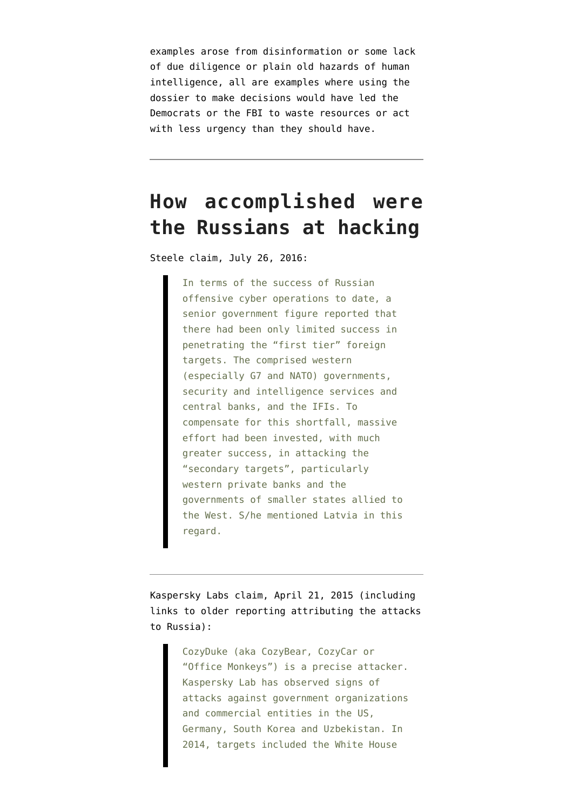examples arose from disinformation or some lack of due diligence or plain old hazards of human intelligence, all are examples where using the dossier to make decisions would have led the Democrats or the FBI to waste resources or act with less urgency than they should have.

## **How accomplished were the Russians at hacking**

Steele claim, July 26, 2016:

In terms of the success of Russian offensive cyber operations to date, a senior government figure reported that there had been only limited success in penetrating the "first tier" foreign targets. The comprised western (especially G7 and NATO) governments, security and intelligence services and central banks, and the IFIs. To compensate for this shortfall, massive effort had been invested, with much greater success, in attacking the "secondary targets", particularly western private banks and the governments of smaller states allied to the West. S/he mentioned Latvia in this regard.

Kaspersky Labs [claim](https://securelist.com/the-cozyduke-apt/69731/), April 21, 2015 (including links to older reporting attributing the attacks to Russia):

> CozyDuke (aka CozyBear, CozyCar or "Office Monkeys") is a precise attacker. Kaspersky Lab has observed signs of attacks against government organizations and commercial entities in the US, Germany, South Korea and Uzbekistan. In 2014, targets included the White House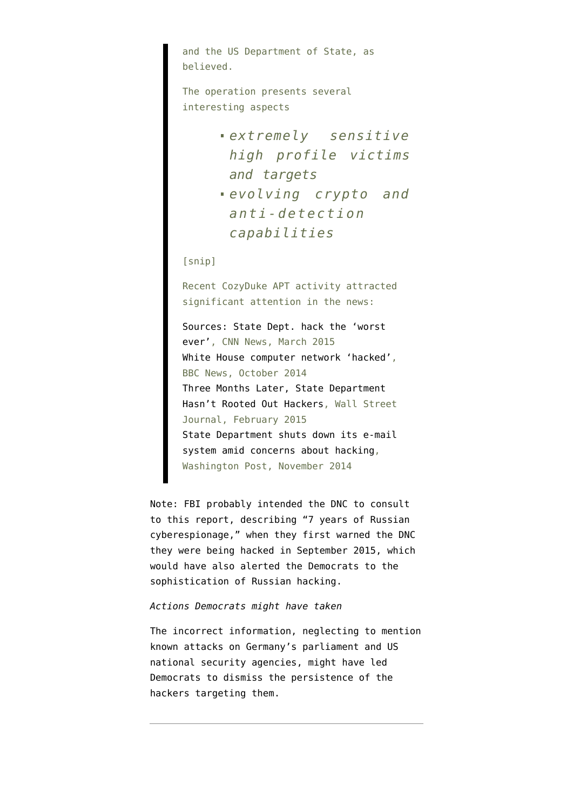and the US Department of State, as believed.

The operation presents several interesting aspects

- *extremely sensitive high profile victims and targets*
- *evolving crypto and anti-detection capabilities*

[snip]

Recent CozyDuke APT activity attracted significant attention in the news:

[Sources: State Dept. hack the 'worst](http://www.cnn.com/2015/03/10/politics/state-department-hack-worst-ever/) [ever'](http://www.cnn.com/2015/03/10/politics/state-department-hack-worst-ever/), CNN News, March 2015 [White House computer network 'hacked',](http://www.bbc.com/news/technology-29817644) BBC News, October 2014 [Three Months Later, State Department](http://www.wsj.com/articles/three-months-later-state-department-hasnt-rooted-out-hackers-1424391453) [Hasn't Rooted Out Hackers](http://www.wsj.com/articles/three-months-later-state-department-hasnt-rooted-out-hackers-1424391453), Wall Street Journal, February 2015 [State Department shuts down its e-mail](http://www.washingtonpost.com/world/national-security/state-department-shuts-down-its-e-mail-system-amid-concerns-about-hacking/2014/11/16/92cf0722-4815-41ca-b602-9bfe8ecdb256_story.html) [system amid concerns about hacking](http://www.washingtonpost.com/world/national-security/state-department-shuts-down-its-e-mail-system-amid-concerns-about-hacking/2014/11/16/92cf0722-4815-41ca-b602-9bfe8ecdb256_story.html), Washington Post, November 2014

Note: FBI [probably intended](https://www.emptywheel.net/2016/12/16/the-dncs-evolving-story-about-when-they-knew-they-were-targeted-by-russia/) the DNC to consult to [this report](https://www.f-secure.com/documents/996508/1030745/dukes_whitepaper.pdf), describing "7 years of Russian cyberespionage," when they first warned the DNC they were being hacked in September 2015, which would have also alerted the Democrats to the sophistication of Russian hacking.

### *Actions Democrats might have taken*

The incorrect information, neglecting to mention known attacks on Germany's parliament and US national security agencies, might have led Democrats to dismiss the persistence of the hackers targeting them.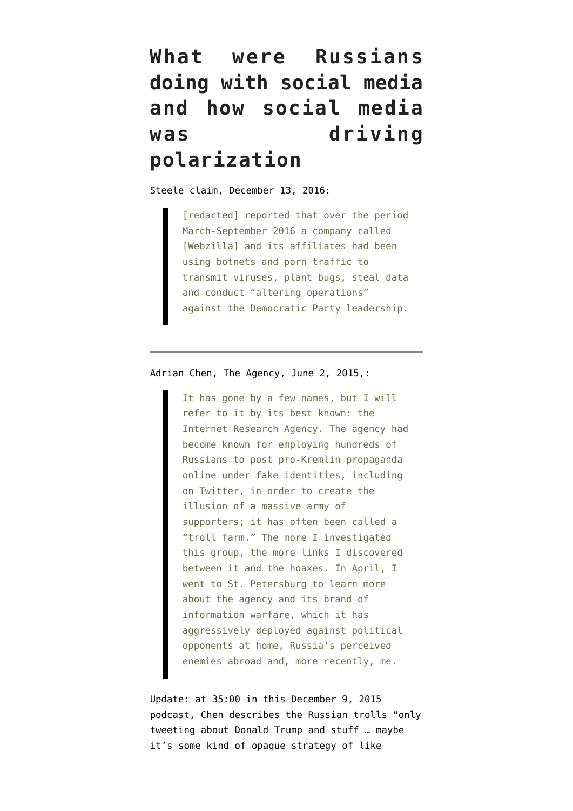# **What were Russians doing with social media and how social media was driving polarization**

Steele claim, December 13, 2016:

[redacted] reported that over the period March-September 2016 a company called [Webzilla] and its affiliates had been using botnets and porn traffic to transmit viruses, plant bugs, steal data and conduct "altering operations" against the Democratic Party leadership.

Adrian Chen, [The Agency,](https://www.nytimes.com/2015/06/07/magazine/the-agency.html) June 2, 2015,:

It has gone by a few names, but I will refer to it by its best known: the Internet Research Agency. The agency had become known for employing hundreds of Russians to post pro-Kremlin propaganda online under fake identities, including on Twitter, in order to create the illusion of a massive army of supporters; it has often been called a "troll farm." The more I investigated this group, the more links I discovered between it and the hoaxes. In April, I went to St. Petersburg to learn more about the agency and its brand of information warfare, which it has aggressively deployed against political opponents at home, Russia's perceived enemies abroad and, more recently, me.

Update: at 35:00 in this December 9, 2015 podcast, Chen [describes](https://longform.org/posts/longform-podcast-171-adrian-chen/) the Russian trolls "only tweeting about Donald Trump and stuff … maybe it's some kind of opaque strategy of like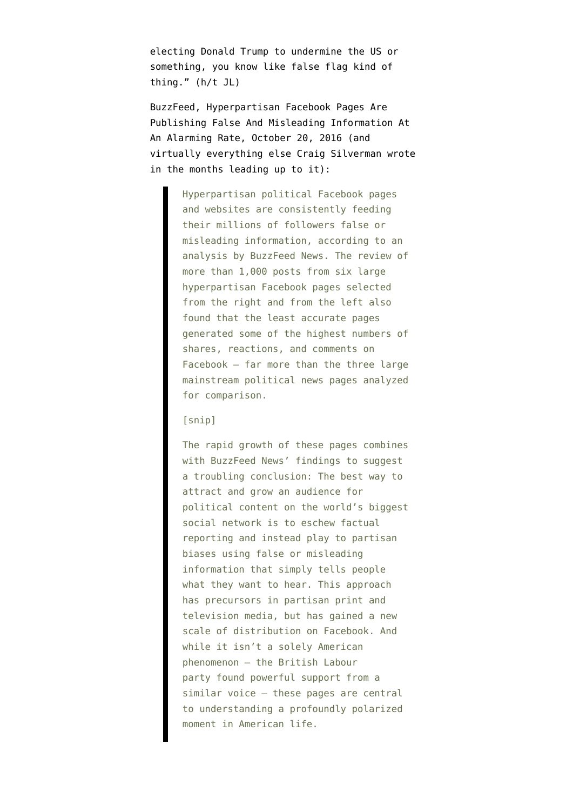electing Donald Trump to undermine the US or something, you know like false flag kind of thing." (h/t JL)

BuzzFeed, [Hyperpartisan Facebook Pages Are](https://www.buzzfeednews.com/article/craigsilverman/partisan-fb-pages-analysis) [Publishing False And Misleading Information At](https://www.buzzfeednews.com/article/craigsilverman/partisan-fb-pages-analysis) [An Alarming Rate,](https://www.buzzfeednews.com/article/craigsilverman/partisan-fb-pages-analysis) October 20, 2016 (and virtually everything else Craig Silverman wrote in the months leading up to it):

> Hyperpartisan political Facebook pages and websites are consistently feeding their millions of followers false or misleading information, according to an analysis by BuzzFeed News. The review of more than 1,000 posts from six large hyperpartisan Facebook pages selected from the right and from the left also found that the least accurate pages generated some of the highest numbers of shares, reactions, and comments on Facebook — far more than the three large mainstream political news pages analyzed for comparison.

### [snip]

The rapid growth of these pages combines with BuzzFeed News' findings to suggest a troubling conclusion: The best way to attract and grow an audience for political content on the world's biggest social network is to eschew factual reporting and instead play to partisan biases using false or misleading information that simply tells people what they want to hear. This approach has precursors in partisan print and television media, but has gained a new scale of distribution on Facebook. And while it isn't a solely American phenomenon — the British Labour party found powerful support from a similar voice — these pages are central to understanding a profoundly polarized moment in American life.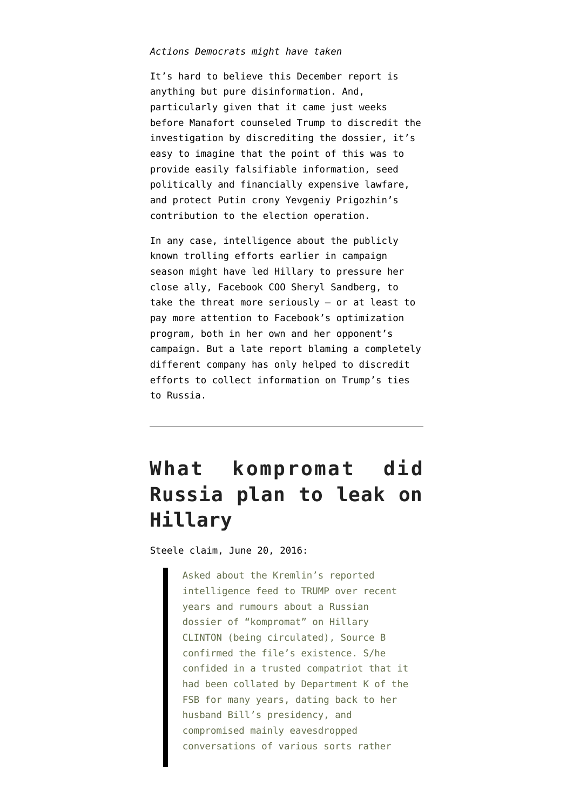### *Actions Democrats might have taken*

It's hard to believe this December report is anything but pure disinformation. And, particularly given that it came just weeks before Manafort [counseled](https://www.emptywheel.net/2017/10/27/did-manafort-prep-trump-for-the-dossier-lawfare/) Trump to discredit the investigation by discrediting the dossier, it's easy to imagine that the point of this was to provide easily falsifiable information, [seed](https://www.emptywheel.net/2017/11/02/the-lawfare-surrounding-the-steele-dossier-will-vastly-outstrip-its-original-cost/) [politically and financially expensive lawfare](https://www.emptywheel.net/2017/11/02/the-lawfare-surrounding-the-steele-dossier-will-vastly-outstrip-its-original-cost/), and protect Putin crony Yevgeniy Prigozhin's contribution to the election operation.

In any case, intelligence about the publicly known trolling efforts earlier in campaign season might have led Hillary to pressure her close ally, Facebook COO Sheryl Sandberg, to take the threat more seriously — or at least to pay more attention to Facebook's optimization program, both in her own and her opponent's campaign. But a late report blaming a completely different company has only helped to discredit efforts to collect information on Trump's ties to Russia.

## **What kompromat did Russia plan to leak on Hillary**

Steele claim, June 20, 2016:

Asked about the Kremlin's reported intelligence feed to TRUMP over recent years and rumours about a Russian dossier of "kompromat" on Hillary CLINTON (being circulated), Source B confirmed the file's existence. S/he confided in a trusted compatriot that it had been collated by Department K of the FSB for many years, dating back to her husband Bill's presidency, and compromised mainly eavesdropped conversations of various sorts rather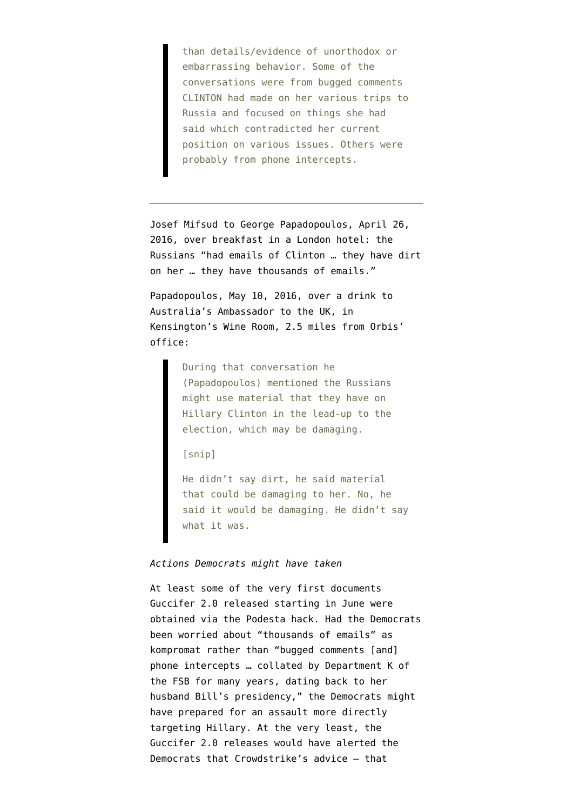than details/evidence of unorthodox or embarrassing behavior. Some of the conversations were from bugged comments CLINTON had made on her various trips to Russia and focused on things she had said which contradicted her current position on various issues. Others were probably from phone intercepts.

Josef Mifsud to George Papadopoulos, April 26, 2016, [over breakfast in a London hotel:](https://www.justice.gov/file/1007346/download) the Russians "had emails of Clinton … they have dirt on her … they have thousands of emails."

Papadopoulos, May 10, 2016, over a drink [to](https://archive.fo/FXsyD#selection-2037.234-2037.342) [Australia's Ambassador](https://archive.fo/FXsyD#selection-2037.234-2037.342) to the UK, in Kensington's Wine Room, [2.5 miles from Orbis'](https://www.google.com/maps/dir/9-11+Grosvenor+Gardens,+Westminster,+London+SW1W+0BD,+UK/The+Kensington+Wine+Rooms,+127-129+Kensington+Church+St,+Kensington,+London+W8+7LP,+UK/@51.5007909,-0.2073785,13z/data=!3m1!4b1!4m14!4m13!1m5!1m1!1s0x4876052167807f7f:0x83dce86809cd71d9!2m2!1d-0.1463!2d51.4978063!1m5!1m1!1s0x48760ffbcc066701:0x5009470a1211ae44!2m2!1d-0.194832!2d51.507253!3e0) [office](https://www.google.com/maps/dir/9-11+Grosvenor+Gardens,+Westminster,+London+SW1W+0BD,+UK/The+Kensington+Wine+Rooms,+127-129+Kensington+Church+St,+Kensington,+London+W8+7LP,+UK/@51.5007909,-0.2073785,13z/data=!3m1!4b1!4m14!4m13!1m5!1m1!1s0x4876052167807f7f:0x83dce86809cd71d9!2m2!1d-0.1463!2d51.4978063!1m5!1m1!1s0x48760ffbcc066701:0x5009470a1211ae44!2m2!1d-0.194832!2d51.507253!3e0):

> During that conversation he (Papadopoulos) mentioned the Russians might use material that they have on Hillary Clinton in the lead-up to the election, which may be damaging.

[snip]

He didn't say dirt, he said material that could be damaging to her. No, he said it would be damaging. He didn't say what it was.

### *Actions Democrats might have taken*

At least some of the very first documents Guccifer 2.0 [released starting in June](https://guccifer2.wordpress.com/2016/06/15/dnc/) were obtained via the Podesta hack. Had the Democrats been worried about "thousands of emails" as kompromat rather than "bugged comments [and] phone intercepts … collated by Department K of the FSB for many years, dating back to her husband Bill's presidency," the Democrats might have prepared for an assault more directly targeting Hillary. At the very least, the Guccifer 2.0 releases would have alerted the Democrats that Crowdstrike's advice — [that](https://www.emptywheel.net/2017/11/24/did-the-steele-dossier-lead-the-democrats-to-be-complacent-after-they-got-hacked/)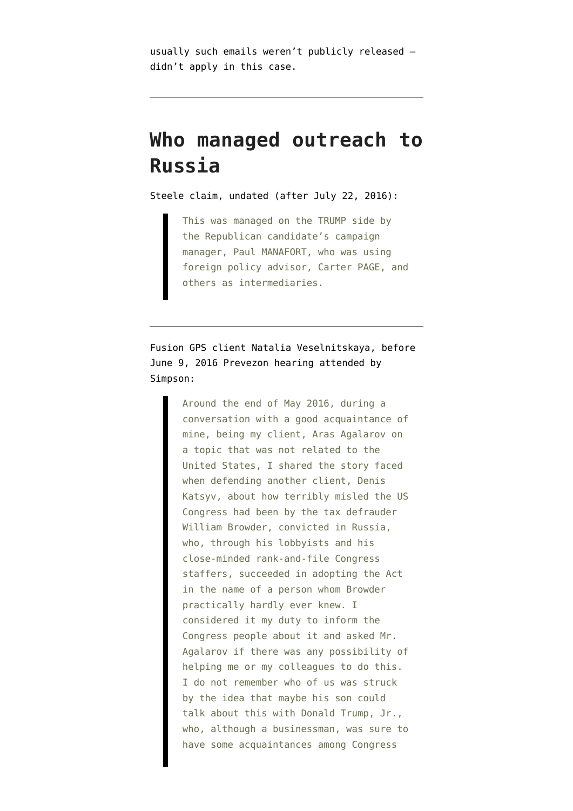[usually such emails weren't publicly released](https://www.emptywheel.net/2017/11/24/did-the-steele-dossier-lead-the-democrats-to-be-complacent-after-they-got-hacked/) didn't apply in this case.

## **Who managed outreach to Russia**

Steele claim, undated (after July 22, 2016):

This was managed on the TRUMP side by the Republican candidate's campaign manager, Paul MANAFORT, who was using foreign policy advisor, Carter PAGE, and others as intermediaries.

Fusion GPS client Natalia Veselnitskaya, [before](https://www.judiciary.senate.gov/imo/media/doc/2017-11-20%20Veselnitskaya%20to%20CEG%20(June%209%20Meeting).pdf) [June 9, 2016](https://www.judiciary.senate.gov/imo/media/doc/2017-11-20%20Veselnitskaya%20to%20CEG%20(June%209%20Meeting).pdf) Prevezon hearing attended by Simpson:

> Around the end of May 2016, during a conversation with a good acquaintance of mine, being my client, Aras Agalarov on a topic that was not related to the United States, I shared the story faced when defending another client, Denis Katsyv, about how terribly misled the US Congress had been by the tax defrauder William Browder, convicted in Russia, who, through his lobbyists and his close-minded rank-and-file Congress staffers, succeeded in adopting the Act in the name of a person whom Browder practically hardly ever knew. I considered it my duty to inform the Congress people about it and asked Mr. Agalarov if there was any possibility of helping me or my colleagues to do this. I do not remember who of us was struck by the idea that maybe his son could talk about this with Donald Trump, Jr., who, although a businessman, was sure to have some acquaintances among Congress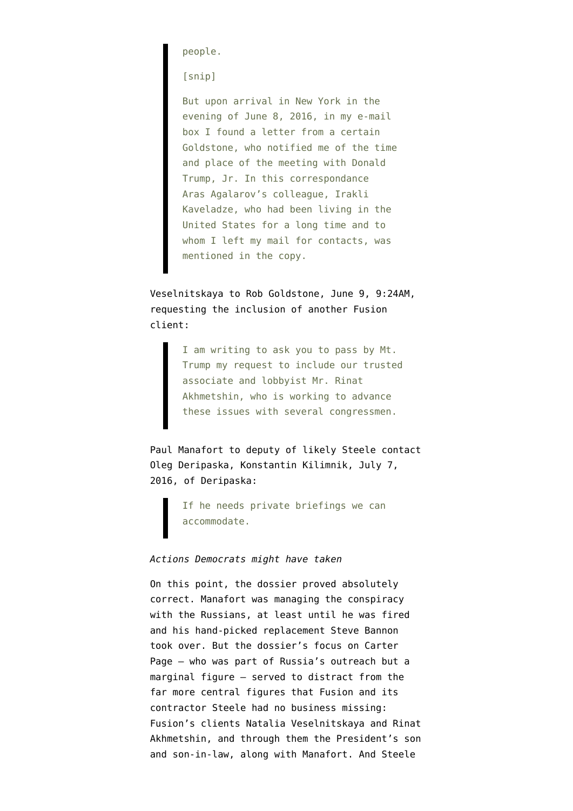people.

[snip]

But upon arrival in New York in the evening of June 8, 2016, in my e-mail box I found a letter from a certain Goldstone, who notified me of the time and place of the meeting with Donald Trump, Jr. In this correspondance Aras Agalarov's colleague, Irakli Kaveladze, who had been living in the United States for a long time and to whom I left my mail for contacts, was mentioned in the copy.

Veselnitskaya to Rob Goldstone, June 9, 9:24AM, requesting the inclusion of another Fusion client:

> I am writing to ask you to pass by Mt. Trump my request to include our trusted associate and lobbyist Mr. Rinat Akhmetshin, who is working to advance these issues with several congressmen.

Paul Manafort to deputy of likely Steele contact Oleg Deripaska, [Konstantin Kilimnik](https://www.washingtonpost.com/politics/manafort-offered-to-give-russian-billionaire-private-briefings-on-2016-campaign/2017/09/20/399bba1a-9d48-11e7-8ea1-ed975285475e_story.html?utm_term=.81c470bd55b4), July 7, 2016, of Deripaska:

> If he needs private briefings we can accommodate.

### *Actions Democrats might have taken*

On this point, the dossier proved absolutely correct. Manafort was managing the conspiracy with the Russians, at least until he was fired and his hand-picked replacement Steve Bannon took over. But the dossier's focus on Carter Page — who was part of Russia's outreach but a marginal figure — served to distract from the far more central figures that Fusion and its contractor Steele had no business missing: Fusion's clients Natalia Veselnitskaya and Rinat Akhmetshin, and through them the President's son and son-in-law, along with Manafort. And Steele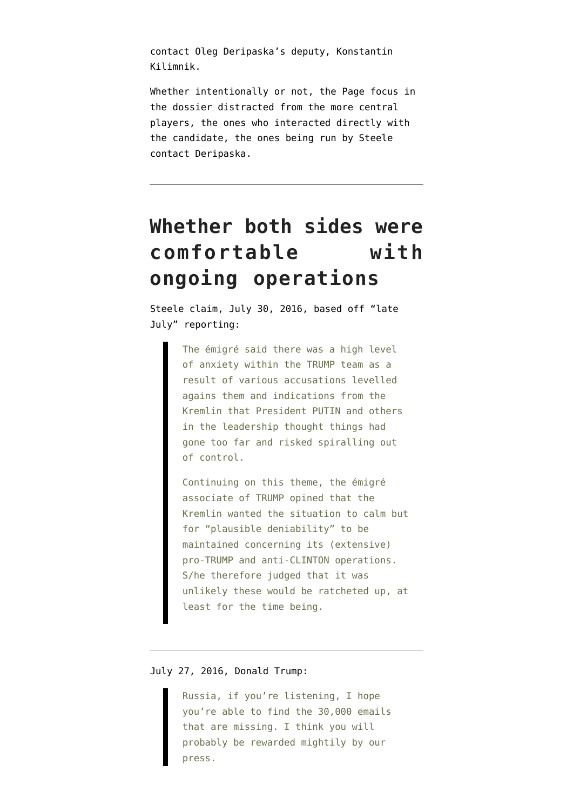contact Oleg Deripaska's deputy, Konstantin Kilimnik.

Whether intentionally or not, the Page focus in the dossier distracted from the more central players, the ones who interacted directly with the candidate, the ones being run by Steele contact Deripaska.

# **Whether both sides were comfortable with ongoing operations**

Steele claim, July 30, 2016, based off "late July" reporting:

> The émigré said there was a high level of anxiety within the TRUMP team as a result of various accusations levelled agains them and indications from the Kremlin that President PUTIN and others in the leadership thought things had gone too far and risked spiralling out of control.

Continuing on this theme, the émigré associate of TRUMP opined that the Kremlin wanted the situation to calm but for "plausible deniability" to be maintained concerning its (extensive) pro-TRUMP and anti-CLINTON operations. S/he therefore judged that it was unlikely these would be ratcheted up, at least for the time being.

July 27, 2016, Donald Trump:

Russia, if you're listening, I hope you're able to find the 30,000 emails that are missing. I think you will probably be rewarded mightily by our press.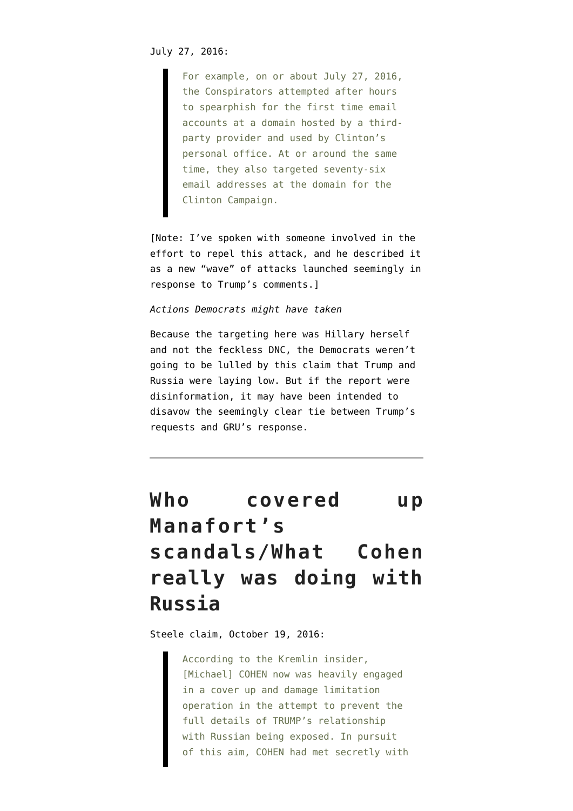For example, on or about July 27, 2016, the Conspirators attempted after hours to spearphish for the first time email accounts at a domain hosted by a thirdparty provider and used by Clinton's personal office. At or around the same time, they also targeted seventy-six email addresses at the domain for the Clinton Campaign.

[Note: I've spoken with someone involved in the effort to repel this attack, and he described it as a new "wave" of attacks launched seemingly in response to Trump's comments.]

#### *Actions Democrats might have taken*

Because the targeting here was Hillary herself and not the feckless DNC, the Democrats weren't going to be lulled by this claim that Trump and Russia were laying low. But if the report were disinformation, it may have been intended to disavow the seemingly clear tie between Trump's requests and GRU's response.

# **Who covered up Manafort's scandals/What Cohen really was doing with Russia**

Steele claim, October 19, 2016:

According to the Kremlin insider, [Michael] COHEN now was heavily engaged in a cover up and damage limitation operation in the attempt to prevent the full details of TRUMP's relationship with Russian being exposed. In pursuit of this aim, COHEN had met secretly with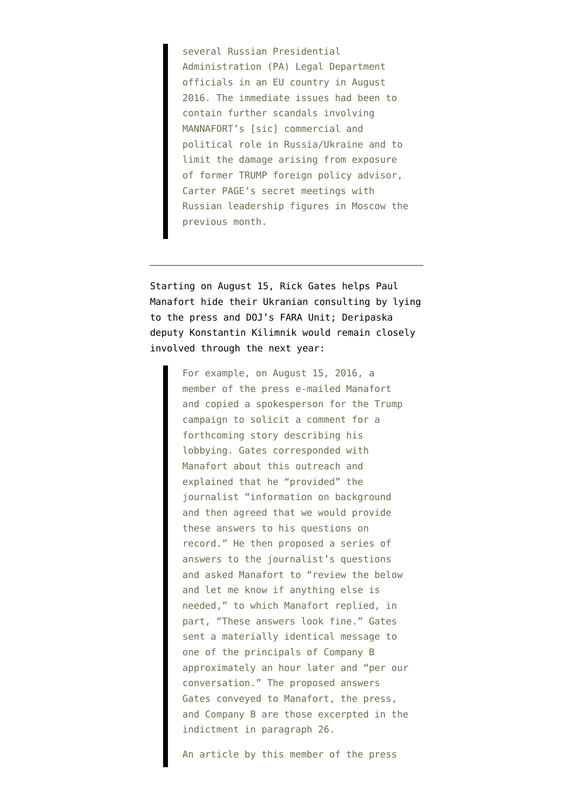several Russian Presidential Administration (PA) Legal Department officials in an EU country in August 2016. The immediate issues had been to contain further scandals involving MANNAFORT's [sic] commercial and political role in Russia/Ukraine and to limit the damage arising from exposure of former TRUMP foreign policy advisor, Carter PAGE's secret meetings with Russian leadership figures in Moscow the previous month.

[Starting on August 15](https://assets.documentcloud.org/documents/4616568/Response-to-motion.pdf), Rick Gates helps Paul Manafort hide their Ukranian consulting by lying to the press and DOJ's FARA Unit; Deripaska deputy Konstantin Kilimnik would remain closely involved through the next year:

> For example, on August 15, 2016, a member of the press e-mailed Manafort and copied a spokesperson for the Trump campaign to solicit a comment for a forthcoming story describing his lobbying. Gates corresponded with Manafort about this outreach and explained that he "provided" the journalist "information on background and then agreed that we would provide these answers to his questions on record." He then proposed a series of answers to the journalist's questions and asked Manafort to "review the below and let me know if anything else is needed," to which Manafort replied, in part, "These answers look fine." Gates sent a materially identical message to one of the principals of Company B approximately an hour later and "per our conversation." The proposed answers Gates conveyed to Manafort, the press, and Company B are those excerpted in the indictment in paragraph 26.

An article by this member of the press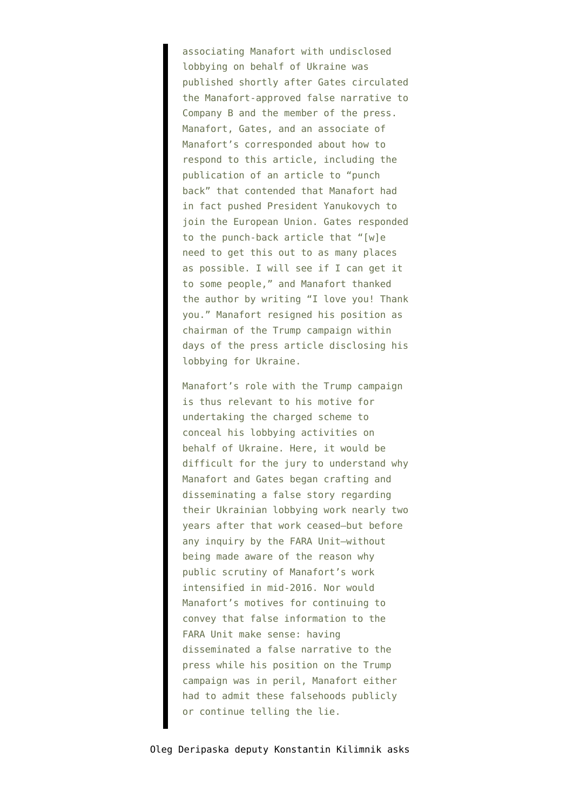associating Manafort with undisclosed lobbying on behalf of Ukraine was published shortly after Gates circulated the Manafort-approved false narrative to Company B and the member of the press. Manafort, Gates, and an associate of Manafort's corresponded about how to respond to this article, including the publication of an article to "punch back" that contended that Manafort had in fact pushed President Yanukovych to join the European Union. Gates responded to the punch-back article that "[w]e need to get this out to as many places as possible. I will see if I can get it to some people," and Manafort thanked the author by writing "I love you! Thank you." Manafort resigned his position as chairman of the Trump campaign within days of the press article disclosing his lobbying for Ukraine.

Manafort's role with the Trump campaign is thus relevant to his motive for undertaking the charged scheme to conceal his lobbying activities on behalf of Ukraine. Here, it would be difficult for the jury to understand why Manafort and Gates began crafting and disseminating a false story regarding their Ukrainian lobbying work nearly two years after that work ceased—but before any inquiry by the FARA Unit—without being made aware of the reason why public scrutiny of Manafort's work intensified in mid-2016. Nor would Manafort's motives for continuing to convey that false information to the FARA Unit make sense: having disseminated a false narrative to the press while his position on the Trump campaign was in peril, Manafort either had to admit these falsehoods publicly or continue telling the lie.

Oleg Deripaska deputy Konstantin Kilimnik [asks](https://www.courtlistener.com/recap/gov.uscourts.dcd.193647/gov.uscourts.dcd.193647.19.0.pdf)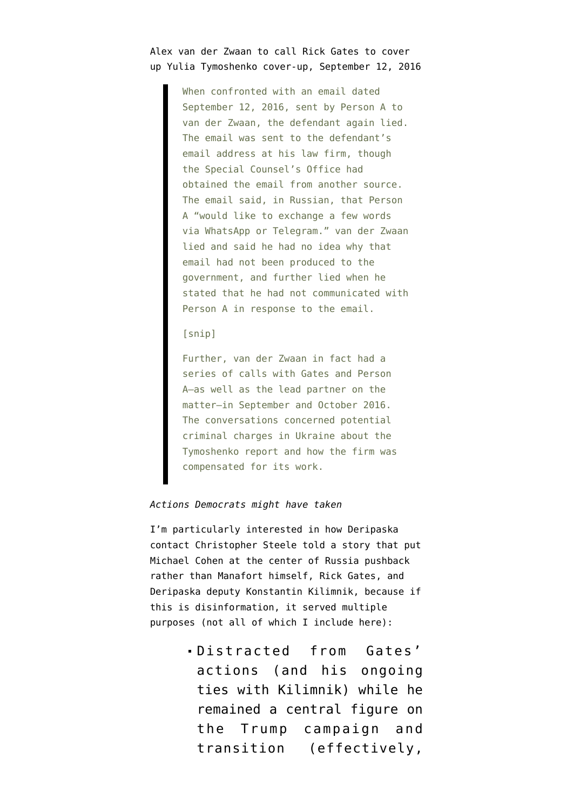## [Alex van der Zwaan](https://www.courtlistener.com/recap/gov.uscourts.dcd.193647/gov.uscourts.dcd.193647.19.0.pdf) to call Rick Gates to cover up Yulia Tymoshenko cover-up, September 12, 2016

When confronted with an email dated September 12, 2016, sent by Person A to van der Zwaan, the defendant again lied. The email was sent to the defendant's email address at his law firm, though the Special Counsel's Office had obtained the email from another source. The email said, in Russian, that Person A "would like to exchange a few words via WhatsApp or Telegram." van der Zwaan lied and said he had no idea why that email had not been produced to the government, and further lied when he stated that he had not communicated with Person A in response to the email.

### [snip]

Further, van der Zwaan in fact had a series of calls with Gates and Person A—as well as the lead partner on the matter—in September and October 2016. The conversations concerned potential criminal charges in Ukraine about the Tymoshenko report and how the firm was compensated for its work.

### *Actions Democrats might have taken*

I'm particularly interested in how Deripaska contact Christopher Steele told a story that put Michael Cohen at the center of Russia pushback rather than Manafort himself, Rick Gates, and Deripaska deputy Konstantin Kilimnik, because if this is disinformation, it served multiple purposes (not all of which I include here):

> Distracted from Gates' actions (and his ongoing ties with Kilimnik) while he remained a central figure on the Trump campaign and transition (effectively,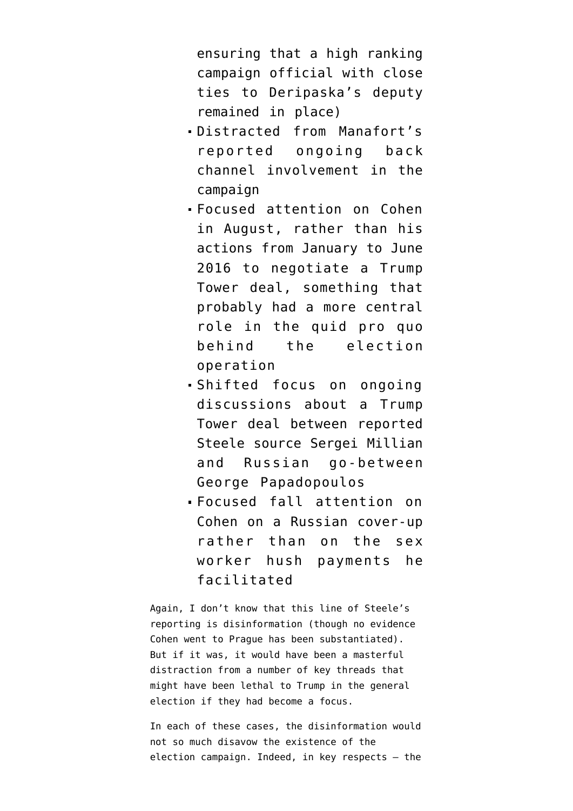ensuring that a high ranking campaign official with close ties to Deripaska's deputy remained in place)

- Distracted from Manafort's reported ongoing back channel involvement in the campaign
- Focused attention on Cohen in August, rather than his actions from January to June 2016 to negotiate a Trump Tower deal, something that probably had a more central role in the quid pro quo behind the election operation
- Shifted focus on ongoing discussions about a Trump Tower deal between reported Steele source Sergei Millian and Russian go-between George Papadopoulos
- Focused fall attention on Cohen on a Russian cover-up rather than on the sex worker hush payments he facilitated

Again, I don't know that this line of Steele's reporting is disinformation (though no evidence Cohen went to Prague has been substantiated). But if it was, it would have been a masterful distraction from a number of key threads that might have been lethal to Trump in the general election if they had become a focus.

In each of these cases, the disinformation would not so much disavow the existence of the election campaign. Indeed, in key respects — the